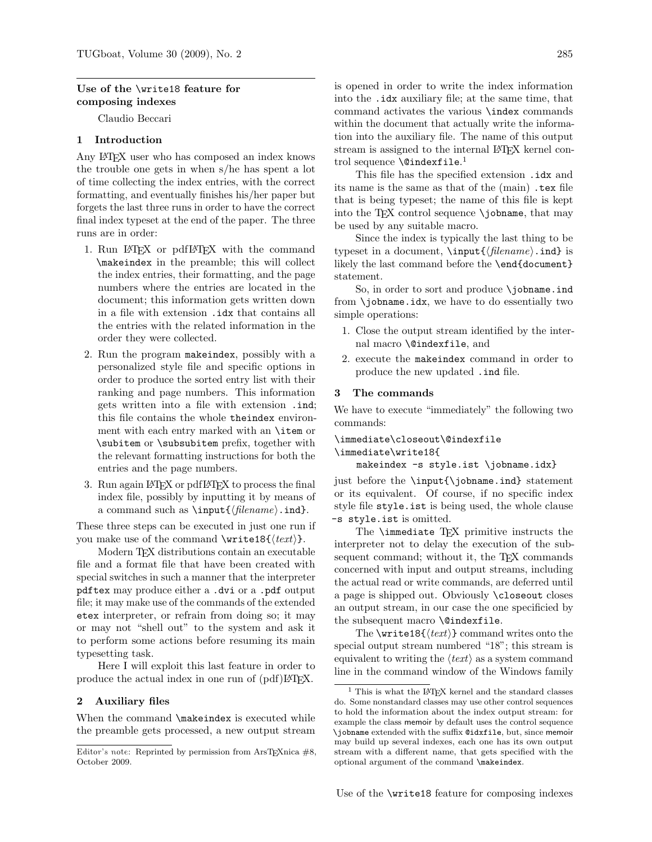## Use of the \write18 feature for composing indexes

Claudio Beccari

# 1 Introduction

Any L<sup>AT</sup>EX user who has composed an index knows the trouble one gets in when s/he has spent a lot of time collecting the index entries, with the correct formatting, and eventually finishes his/her paper but forgets the last three runs in order to have the correct final index typeset at the end of the paper. The three runs are in order:

- 1. Run LAT<sub>EX</sub> or pdfLAT<sub>EX</sub> with the command \makeindex in the preamble; this will collect the index entries, their formatting, and the page numbers where the entries are located in the document; this information gets written down in a file with extension .idx that contains all the entries with the related information in the order they were collected.
- 2. Run the program makeindex, possibly with a personalized style file and specific options in order to produce the sorted entry list with their ranking and page numbers. This information gets written into a file with extension .ind; this file contains the whole theindex environment with each entry marked with an \item or \subitem or \subsubitem prefix, together with the relevant formatting instructions for both the entries and the page numbers.
- 3. Run again LATEX or pdfLATEX to process the final index file, possibly by inputting it by means of a command such as  $\in{\mathcal{h}lename}.ind.$

These three steps can be executed in just one run if you make use of the command  $\write18\{\text{text}\}.$ 

Modern TEX distributions contain an executable file and a format file that have been created with special switches in such a manner that the interpreter pdftex may produce either a .dvi or a .pdf output file; it may make use of the commands of the extended etex interpreter, or refrain from doing so; it may or may not "shell out" to the system and ask it to perform some actions before resuming its main typesetting task.

Here I will exploit this last feature in order to produce the actual index in one run of  $(pdf)IATEX$ .

### 2 Auxiliary files

When the command **\makeindex** is executed while the preamble gets processed, a new output stream

is opened in order to write the index information into the .idx auxiliary file; at the same time, that command activates the various \index commands within the document that actually write the information into the auxiliary file. The name of this output stream is assigned to the internal LAT<sub>E</sub>X kernel control sequence **\@indexfile**.<sup>1</sup>

This file has the specified extension .idx and its name is the same as that of the (main) .tex file that is being typeset; the name of this file is kept into the TFX control sequence  $\iota$  jobname, that may be used by any suitable macro.

Since the index is typically the last thing to be typeset in a document,  $\infty$  (filename). ind is likely the last command before the \end{document} statement.

So, in order to sort and produce \jobname.ind from \jobname.idx, we have to do essentially two simple operations:

- 1. Close the output stream identified by the internal macro \@indexfile, and
- 2. execute the makeindex command in order to produce the new updated .ind file.

### 3 The commands

We have to execute "immediately" the following two commands:

\immediate\closeout\@indexfile \immediate\write18{

```
makeindex -s style.ist \jobname.idx}
```
just before the \input{\jobname.ind} statement or its equivalent. Of course, if no specific index style file style.ist is being used, the whole clause -s style.ist is omitted.

The **\immediate** T<sub>E</sub>X primitive instructs the interpreter not to delay the execution of the subsequent command; without it, the TFX commands concerned with input and output streams, including the actual read or write commands, are deferred until a page is shipped out. Obviously \closeout closes an output stream, in our case the one specificied by the subsequent macro *\@indexfile*.

The  $\write18\{\langle text \rangle\}$  command writes onto the special output stream numbered "18"; this stream is equivalent to writing the  $\langle text \rangle$  as a system command line in the command window of the Windows family

Editor's note: Reprinted by permission from ArsT<sub>E</sub>Xnica  $#8$ , October 2009.

<sup>1</sup> This is what the LATEX kernel and the standard classes do. Some nonstandard classes may use other control sequences to hold the information about the index output stream: for example the class memoir by default uses the control sequence \jobname extended with the suffix @idxfile, but, since memoir may build up several indexes, each one has its own output stream with a different name, that gets specified with the optional argument of the command \makeindex.